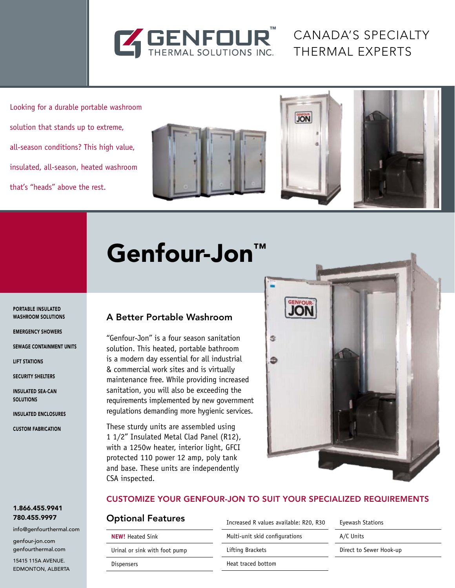

Canada's Specialty Thermal Experts

Looking for a durable portable washroom solution that stands up to extreme, all-season conditions? This high value, insulated, all-season, heated washroom that's "heads" above the rest.





# Genfour-Jon<sup>™</sup>

Portable Insulated Washroom Solutions

Emergency showers

Sewage Containment Units

Lift Stations

Security Shelters

Insulated Sea-Can **SOLUTIONS** 

Insulated Enclosures

Custom Fabrication

## A Better Portable Washroom

"Genfour-Jon" is a four season sanitation solution. This heated, portable bathroom is a modern day essential for all industrial & commercial work sites and is virtually maintenance free. While providing increased sanitation, you will also be exceeding the requirements implemented by new government regulations demanding more hygienic services.

These sturdy units are assembled using 1 1/2" Insulated Metal Clad Panel (R12), with a 1250w heater, interior light, GFCI protected 110 power 12 amp, poly tank and base. These units are independently CSA inspected.



#### Customize your GENFOUR-Jon to suit your specialized requirements

Heat traced bottom

#### Optional Features

**NEW!** Heated Sink Urinal or sink with foot pump Dispensers

Increased R values available: R20, R30 Multi-unit skid configurations Lifting Brackets

Eyewash Stations A/C Units

Direct to Sewer Hook-up

15415 115A Avenue. Edmonton, Alberta

1.866.455.9941 780.455.9997

genfour-jon.com genfourthermal.com

info@genfourthermal.com